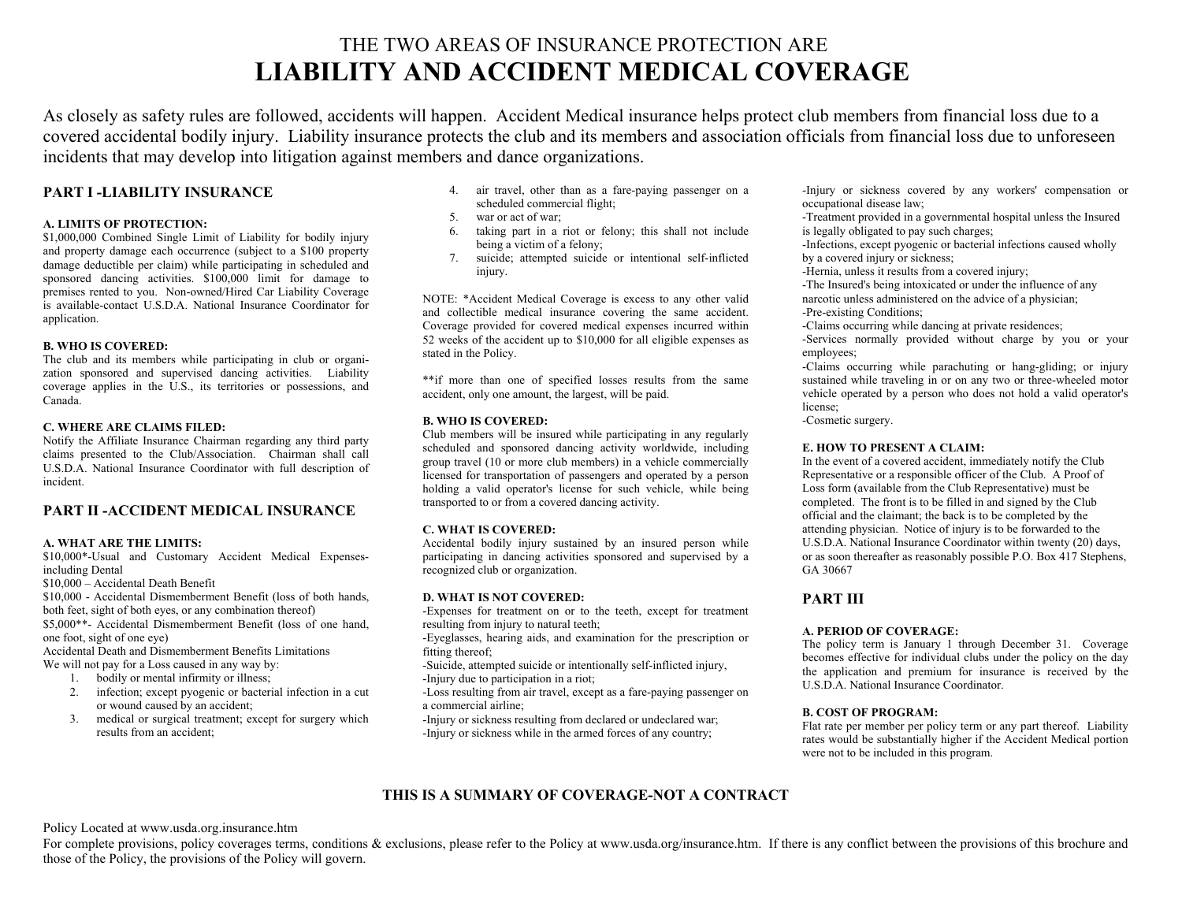# THE TWO AREAS OF INSURANCE PROTECTION ARE **LIABILITY AND ACCIDENT MEDICAL COVERAGE**

As closely as safety rules are followed, accidents will happen. Accident Medical insurance helps protect club members from financial loss due to a covered accidental bodily injury. Liability insurance protects the club and its members and association officials from financial loss due to unforeseen incidents that may develop into litigation against members and dance organizations.

## **PART I -LIABILITY INSURANCE**

#### **A. LIMITS OF PROTECTION:**

\$1,000,000 Combined Single Limit of Liability for bodily injury and property damage each occurrence (subject to a \$100 property damage deductible per claim) while participating in scheduled and sponsored dancing activities. \$100,000 limit for damage to premises rented to you. Non-owned/Hired Car Liability Coverage is available-contact U.S.D.A. National Insurance Coordinator for application.

#### **B. WHO IS COVERED:**

The club and its members while participating in club or organization sponsored and supervised dancing activities. Liability coverage applies in the U.S., its territories or possessions, and Canada.

#### **C. WHERE ARE CLAIMS FILED:**

 Notify the Affiliate Insurance Chairman regarding any third party claims presented to the Club/Association. Chairman shall call U.S.D.A. National Insurance Coordinator with full description of incident.

### **PART II -ACCIDENT MEDICAL INSURANCE**

#### **A. WHAT ARE THE LIMITS:**

\$10,000\*-Usual and Customary Accident Medical Expensesincluding Dental

\$10,000 – Accidental Death Benefit

\$10,000 - Accidental Dismemberment Benefit (loss of both hands, both feet, sight of both eyes, or any combination thereof)

\$5,000\*\*- Accidental Dismemberment Benefit (loss of one hand, one foot, sight of one eye)

Accidental Death and Dismemberment Benefits Limitations We will not pay for a Loss caused in any way by:

- 1. bodily or mental infirmity or illness;
- 2. infection; except pyogenic or bacterial infection in a cut or wound caused by an accident;
- 3. medical or surgical treatment; except for surgery which results from an accident;
- 4. air travel, other than as a fare-paying passenger on a scheduled commercial flight;
- 5. war or act of war;
- 6. taking part in a riot or felony; this shall not include being a victim of a felony;
- 7. suicide; attempted suicide or intentional self-inflicted injury.

NOTE: \*Accident Medical Coverage is excess to any other valid and collectible medical insurance covering the same accident. Coverage provided for covered medical expenses incurred within 52 weeks of the accident up to \$10,000 for all eligible expenses as stated in the Policy.

\*\*if more than one of specified losses results from the same accident, only one amount, the largest, will be paid.

#### **B. WHO IS COVERED:**

 Club members will be insured while participating in any regularly scheduled and sponsored dancing activity worldwide, including group travel (10 or more club members) in a vehicle commercially licensed for transportation of passengers and operated by a person holding a valid operator's license for such vehicle, while being transported to or from a covered dancing activity.

#### **C. WHAT IS COVERED:**

Accidental bodily injury sustained by an insured person while participating in dancing activities sponsored and supervised by a recognized club or organization.

#### **D. WHAT IS NOT COVERED:**

 -Expenses for treatment on or to the teeth, except for treatment resulting from injury to natural teeth;

-Eyeglasses, hearing aids, and examination for the prescription or fitting thereof;

-Suicide, attempted suicide or intentionally self-inflicted injury, -Injury due to participation in a riot;

-Loss resulting from air travel, except as a fare-paying passenger on a commercial airline;

-Injury or sickness resulting from declared or undeclared war; -Injury or sickness while in the armed forces of any country;

-Injury or sickness covered by any workers' compensation or occupational disease law;

-Treatment provided in a governmental hospital unless the Insured is legally obligated to pay such charges;

-Infections, except pyogenic or bacterial infections caused wholly by a covered injury or sickness;

-Hernia, unless it results from a covered injury;

-The Insured's being intoxicated or under the influence of any narcotic unless administered on the advice of a physician;

-Pre-existing Conditions;

-Claims occurring while dancing at private residences;

-Services normally provided without charge by you or your employees;

-Claims occurring while parachuting or hang-gliding; or injury sustained while traveling in or on any two or three-wheeled motor vehicle operated by a person who does not hold a valid operator's license;

-Cosmetic surgery.

#### **E. HOW TO PRESENT A CLAIM:**

 In the event of a covered accident, immediately notify the Club Representative or a responsible officer of the Club. A Proof of Loss form (available from the Club Representative) must be completed. The front is to be filled in and signed by the Club official and the claimant; the back is to be completed by the attending physician. Notice of injury is to be forwarded to the U.S.D.A. National Insurance Coordinator within twenty (20) days, or as soon thereafter as reasonably possible P.O. Box 417 Stephens, GA 30667

# **PART III**

#### **A. PERIOD OF COVERAGE:**

 The policy term is January 1 through December 31. Coverage becomes effective for individual clubs under the policy on the day the application and premium for insurance is received by the U.S.D.A. National Insurance Coordinator.

#### **B. COST OF PROGRAM:**

Flat rate per member per policy term or any part thereof. Liability rates would be substantially higher if the Accident Medical portion were not to be included in this program.

# **THIS IS A SUMMARY OF COVERAGE-NOT A CONTRACT**

Policy Located at www.usda.org.insurance.htm

For complete provisions, policy coverages terms, conditions & exclusions, please refer to the Policy at www.usda.org/insurance.htm. If there is any conflict between the provisions of this brochure and those of the Policy, the provisions of the Policy will govern.